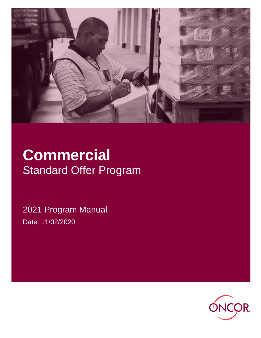

# **Commercial** Standard Offer Program

2021 Program Manual Date: 11/02/2020

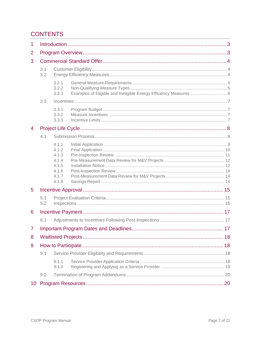# **CONTENTS**

| 1              |            |                                                                      |                                                                   |  |
|----------------|------------|----------------------------------------------------------------------|-------------------------------------------------------------------|--|
| 2              |            |                                                                      |                                                                   |  |
| 3              |            |                                                                      |                                                                   |  |
|                | 3.1<br>3.2 |                                                                      |                                                                   |  |
|                |            | 3.2.1<br>3.2.2<br>3.2.3                                              | Examples of Eligible and Ineligible Energy Efficiency Measures  6 |  |
|                | 3.3        |                                                                      |                                                                   |  |
|                |            | 3.3.1<br>3.3.2<br>3.3.3                                              |                                                                   |  |
| 4              |            |                                                                      |                                                                   |  |
|                | 4.1        |                                                                      |                                                                   |  |
|                |            | 4.1.1<br>4.1.2<br>4.1.3<br>4.1.4<br>4.1.5<br>4.1.6<br>4.1.7<br>4.1.8 |                                                                   |  |
| 5              |            |                                                                      |                                                                   |  |
| 5.1<br>5.2     |            |                                                                      |                                                                   |  |
| 6              |            |                                                                      |                                                                   |  |
|                | 6.1        |                                                                      |                                                                   |  |
| $\overline{7}$ |            |                                                                      |                                                                   |  |
| 8              |            |                                                                      |                                                                   |  |
| 9              |            |                                                                      |                                                                   |  |
|                | 9.1        |                                                                      |                                                                   |  |
|                |            | 9.1.1<br>9.1.2                                                       |                                                                   |  |
|                | 9.2        |                                                                      |                                                                   |  |
| 10             |            |                                                                      |                                                                   |  |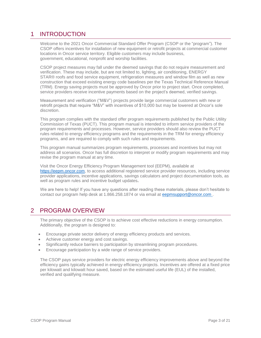# <span id="page-2-0"></span>1 INTRODUCTION

Welcome to the 2021 Oncor Commercial Standard Offer Program (CSOP or the "program"). The CSOP offers incentives for installation of new equipment or retrofit projects at commercial customer locations in Oncor service territory. Eligible customers may include business, government, educational, nonprofit and worship facilities.

CSOP project measures may fall under the deemed savings that do not require measurement and verification. These may include, but are not limited to, lighting, air conditioning, ENERGY STAR® roofs and food service equipment, refrigeration measures and window film as well as new construction that exceed existing energy code baselines per the Texas Technical Reference Manual (TRM). Energy saving projects must be approved by Oncor prior to project start. Once completed, service providers receive incentive payments based on the project's deemed, verified savings.

Measurement and verification ("M&V") projects provide large commercial customers with new or retrofit projects that require "M&V" with incentives of \$10,000 but may be lowered at Oncor's sole discretion.

This program complies with the standard offer program requirements published by the Public Utility Commission of Texas (PUCT). This program manual is intended to inform service providers of the program requirements and processes. However, service providers should also review the PUCT rules related to energy efficiency programs and the requirements in the TRM for energy efficiency programs, and are required to comply with such rules and requirements.

This program manual summarizes program requirements, processes and incentives but may not address all scenarios. Oncor has full discretion to interpret or modify program requirements and may revise the program manual at any time.

Visit the Oncor Energy Efficiency Program Management tool (EEPM), available at [https://eepm.oncor.com,](https://eepm.oncor.com/) to access additional registered service provider resources, including service provider applications, incentive applications, savings calculators and project documentation tools, as well as program rules and incentive budget updates**.** 

We are here to help! If you have any questions after reading these materials, please don't hesitate to contact our program help desk at 1.866.258.1874 or via email at eep[msupport@oncor.com](mailto:support@oncor.com) .

# <span id="page-2-1"></span>2 PROGRAM OVERVIEW

The primary objective of the CSOP is to achieve cost effective reductions in energy consumption. Additionally, the program is designed to:

- Encourage private sector delivery of energy efficiency products and services.
- Achieve customer energy and cost savings.
- Significantly reduce barriers to participation by streamlining program procedures.
- Encourage participation by a wide range of service providers.

The CSOP pays service providers for electric energy efficiency improvements above and beyond the efficiency gains typically achieved in energy efficiency projects. Incentives are offered at a fixed price per kilowatt and kilowatt hour saved, based on the estimated useful life (EUL) of the installed, verified and qualifying measure.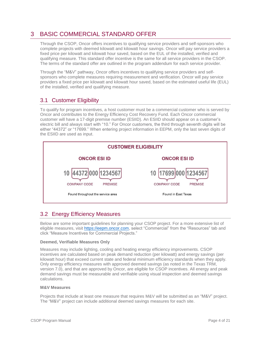# <span id="page-3-0"></span>3 BASIC COMMERCIAL STANDARD OFFER

Through the CSOP, Oncor offers incentives to qualifying service providers and self-sponsors who complete projects with deemed kilowatt and kilowatt hour savings. Oncor will pay service providers a fixed price per kilowatt and kilowatt hour saved, based on the EUL of the installed, verified and qualifying measure. This standard offer incentive is the same for all service providers in the CSOP. The terms of the standard offer are outlined in the program addendum for each service provider.

Through the "M&V" pathway, Oncor offers incentives to qualifying service providers and selfsponsors who complete measures requiring measurement and verification. Oncor will pay service providers a fixed price per kilowatt and kilowatt hour saved, based on the estimated useful life (EUL) of the installed, verified and qualifying measure.

# <span id="page-3-1"></span>3.1 Customer Eligibility

To qualify for program incentives, a host customer must be a commercial customer who is served by Oncor and contributes to the Energy Efficiency Cost Recovery Fund. Each Oncor commercial customer will have a 17-digit premise number (ESIID). An ESIID should appear on a customer's electric bill and always start with "10." For Oncor customers, the third through seventh digits will be either "44372" or "17699." When entering project information in EEPM, only the last seven digits of the ESIID are used as input.



# <span id="page-3-2"></span>3.2 Energy Efficiency Measures

Below are some important guidelines for planning your CSOP project. For a more extensive list of eligible measures, visit [https://eepm.oncor.com,](https://eepm.oncor.com/) select "Commercial" from the "Resources" tab and click "Measure Incentives for Commercial Projects."

# **Deemed, Verifiable Measures Only**

Measures may include lighting, cooling and heating energy efficiency improvements. CSOP incentives are calculated based on peak demand reduction (per kilowatt) and energy savings (per kilowatt hour) that exceed current state and federal minimum efficiency standards when they apply. Only energy efficiency measures with approved deemed savings (as noted in the Texas TRM, version 7.0), and that are approved by Oncor, are eligible for CSOP incentives. All energy and peak demand savings must be measurable and verifiable using visual inspection and deemed savings calculations.

## **M&V Measures**

Projects that include at least one measure that requires M&V will be submitted as an "M&V" project. The "M&V" project can include additional deemed savings measures for each site.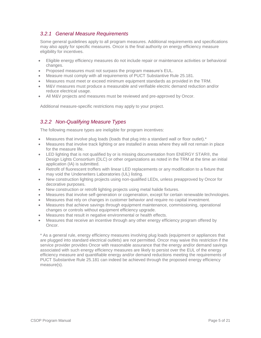# <span id="page-4-0"></span>*3.2.1 General Measure Requirements*

Some general guidelines apply to all program measures. Additional requirements and specifications may also apply for specific measures. Oncor is the final authority on energy efficiency measure eligibility for incentives.

- Eligible energy efficiency measures do not include repair or maintenance activities or behavioral changes.
- Proposed measures must not surpass the program measure's EUL.
- Measure must comply with all requirements of PUCT Substantive Rule 25.181.
- Measures must meet or exceed minimum equipment standards as provided in the TRM.
- M&V measures must produce a measurable and verifiable electric demand reduction and/or reduce electrical usage.
- All M&V projects and measures must be reviewed and pre-approved by Oncor.

Additional measure-specific restrictions may apply to your project.

# <span id="page-4-1"></span>*3.2.2 Non-Qualifying Measure Types*

The following measure types are ineligible for program incentives:

- Measures that involve plug loads (loads that plug into a standard wall or floor outlet).\*
- Measures that involve track lighting or are installed in areas where they will not remain in place for the measure life.
- LED lighting that is not qualified by or is missing documentation from ENERGY STAR®, the Design Lights Consortium (DLC) or other organizations as noted in the TRM at the time an initial application (IA) is submitted.
- Retrofit of fluorescent troffers with linear LED replacements or any modification to a fixture that may void the Underwriters Laboratories (UL) listing.
- New construction lighting projects using non-qualified LEDs, unless preapproved by Oncor for decorative purposes.
- New construction or retrofit lighting projects using metal halide fixtures.
- Measures that involve self-generation or cogeneration, except for certain renewable technologies.
- Measures that rely on changes in customer behavior and require no capital investment.
- Measures that achieve savings through equipment maintenance, commissioning, operational changes or controls without equipment efficiency upgrade.
- Measures that result in negative environmental or health effects.
- Measures that receive an incentive through any other energy efficiency program offered by Oncor.

\* As a general rule, energy efficiency measures involving plug loads (equipment or appliances that are plugged into standard electrical outlets) are not permitted. Oncor may waive this restriction if the service provider provides Oncor with reasonable assurance that the energy and/or demand savings associated with such energy efficiency measures are likely to persist over the EUL of the energy efficiency measure and quantifiable energy and/or demand reductions meeting the requirements of PUCT Substantive Rule 25.181 can indeed be achieved through the proposed energy efficiency measure(s).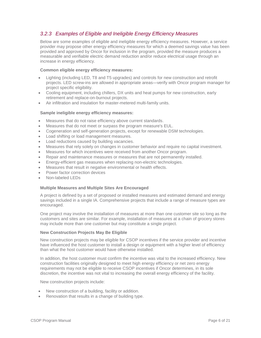# <span id="page-5-0"></span>*3.2.3 Examples of Eligible and Ineligible Energy Efficiency Measures*

Below are some examples of eligible and ineligible energy efficiency measures. However, a service provider may propose other energy efficiency measures for which a deemed savings value has been provided and approved by Oncor for inclusion in the program, provided the measure produces a measurable and verifiable electric demand reduction and/or reduce electrical usage through an increase in energy efficiency.

## **Common eligible energy efficiency measures:**

- Lighting (including LED, T8 and T5 upgrades) and controls for new construction and retrofit projects. LED screw-ins are allowed in appropriate areas—verify with Oncor program manager for project specific eligibility.
- Cooling equipment, including chillers, DX units and heat pumps for new construction, early retirement and replace-on-burnout projects.
- Air infiltration and insulation for master-metered multi-family units.

## **Sample ineligible energy efficiency measures:**

- Measures that do not raise efficiency above current standards.
- Measures that do not meet or surpass the program measure's EUL.
- Cogeneration and self-generation projects, except for renewable DSM technologies.
- Load shifting or load management measures.
- Load reductions caused by building vacancies.
- Measures that rely solely on changes in customer behavior and require no capital investment.
- Measures for which incentives were received from another Oncor program.
- Repair and maintenance measures or measures that are not permanently installed.
- Energy-efficient gas measures when replacing non-electric technologies.
- Measures that result in negative environmental or health effects.
- Power factor correction devices
- Non-labeled LEDs

## **Multiple Measures and Multiple Sites Are Encouraged**

A project is defined by a set of proposed or installed measures and estimated demand and energy savings included in a single IA. Comprehensive projects that include a range of measure types are encouraged.

One project may involve the installation of measures at more than one customer site so long as the customers and sites are similar. For example, installation of measures at a chain of grocery stores may include more than one customer but may constitute a single project.

# **New Construction Projects May Be Eligible**

New construction projects may be eligible for CSOP incentives if the service provider and incentive have influenced the host customer to install a design or equipment with a higher level of efficiency than what the host customer would have otherwise installed.

In addition, the host customer must confirm the incentive was vital to the increased efficiency. New construction facilities originally designed to meet high energy efficiency or net zero energy requirements may not be eligible to receive CSOP incentives if Oncor determines, in its sole discretion, the incentive was not vital to increasing the overall energy efficiency of the facility.

New construction projects include:

- New construction of a building, facility or addition.
- Renovation that results in a change of building type.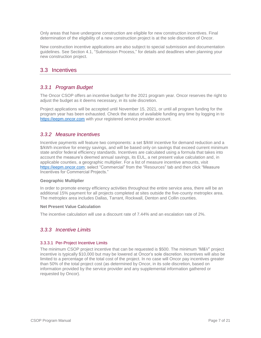Only areas that have undergone construction are eligible for new construction incentives. Final determination of the eligibility of a new construction project is at the sole discretion of Oncor.

New construction incentive applications are also subject to special submission and documentation guidelines. See Section 4.1, "Submission Process," for details and deadlines when planning your new construction project.

# <span id="page-6-0"></span>3.3 Incentives

# <span id="page-6-1"></span>*3.3.1 Program Budget*

The Oncor CSOP offers an incentive budget for the 2021 program year. Oncor reserves the right to adjust the budget as it deems necessary, in its sole discretion.

Project applications will be accepted until November 15, 2021, or until all program funding for the program year has been exhausted. Check the status of available funding any time by logging in to [https://eepm.oncor.com](https://eepm.oncor.com/) with your registered service provider account.

# <span id="page-6-2"></span>*3.3.2 Measure Incentives*

Incentive payments will feature two components: a set \$/kW incentive for demand reduction and a \$/kWh incentive for energy savings, and will be based only on savings that exceed current minimum state and/or federal efficiency standards. Incentives are calculated using a formula that takes into account the measure's deemed annual savings, its EUL, a net present value calculation and, in applicable counties, a geographic multiplier. For a list of measure incentive amounts, visit [https://eepm.oncor.com;](https://eepm.oncor.com/) select "Commercial" from the "Resources" tab and then click "Measure Incentives for Commercial Projects."

## **Geographic Multiplier**

In order to promote energy efficiency activities throughout the entire service area, there will be an additional 15% payment for all projects completed at sites outside the five-county metroplex area. The metroplex area includes Dallas, Tarrant, Rockwall, Denton and Collin counties.

## **Net Present Value Calculation**

The incentive calculation will use a discount rate of 7.44% and an escalation rate of 2%.

# <span id="page-6-3"></span>*3.3.3 Incentive Limits*

## 3.3.3.1 Per-Project Incentive Limits

The minimum CSOP project incentive that can be requested is \$500. The minimum "M&V" project incentive is typically \$10,000 but may be lowered at Oncor's sole discretion. Incentives will also be limited to a percentage of the total cost of the project. In no case will Oncor pay incentives greater than 50% of the total project cost (as determined by Oncor, in its sole discretion, based on information provided by the service provider and any supplemental information gathered or requested by Oncor).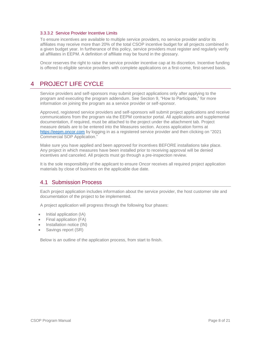## 3.3.3.2 Service Provider Incentive Limits

To ensure incentives are available to multiple service providers, no service provider and/or its affiliates may receive more than 20% of the total CSOP incentive budget for all projects combined in a given budget year. In furtherance of this policy, service providers must register and regularly verify all affiliates in EEPM. A definition of affiliate may be found in the glossary.

Oncor reserves the right to raise the service provider incentive cap at its discretion. Incentive funding is offered to eligible service providers with complete applications on a first-come, first-served basis.

# <span id="page-7-0"></span>4 PROJECT LIFE CYCLE

Service providers and self-sponsors may submit project applications only after applying to the program and executing the program addendum. See Section 9, "How to Participate," for more information on joining the program as a service provider or self-sponsor.

Approved, registered service providers and self-sponsors will submit project applications and receive communications from the program via the EEPM contractor portal. All applications and supplemental documentation, if required, must be attached to the project under the attachment tab. Project measure details are to be entered into the Measures section. Access application forms at [https://eepm.oncor.com](https://eepm.oncor.com/) by logging in as a registered service provider and then clicking on "2021 Commercial SOP Application."

Make sure you have applied and been approved for incentives BEFORE installations take place. Any project in which measures have been installed prior to receiving approval will be denied incentives and canceled. All projects must go through a pre-inspection review.

It is the sole responsibility of the applicant to ensure Oncor receives all required project application materials by close of business on the applicable due date.

# <span id="page-7-1"></span>4.1 Submission Process

Each project application includes information about the service provider, the host customer site and documentation of the project to be implemented.

A project application will progress through the following four phases:

- Initial application (IA)
- Final application (FA)
- Installation notice (IN)
- Savings report (SR)

Below is an outline of the application process, from start to finish.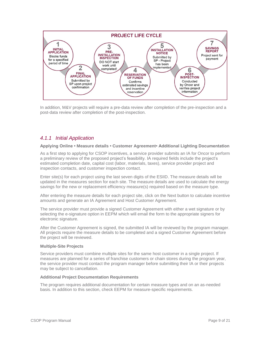

In addition, M&V projects will require a pre-data review after completion of the pre-inspection and a post-data review after completion of the post-inspection.

# <span id="page-8-0"></span>*4.1.1 Initial Application*

#### **Applying Online • Measure details • Customer Agreement• Additional Lighting Documentation**

As a first step to applying for CSOP incentives, a service provider submits an IA for Oncor to perform a preliminary review of the proposed project's feasibility. IA required fields include the project's estimated completion date, capital cost (labor, materials, taxes), service provider project and inspection contacts, and customer inspection contact.

Enter site(s) for each project using the last seven digits of the ESIID. The measure details will be updated in the measures section for each site. The measure details are used to calculate the energy savings for the new or replacement efficiency measure(s) required based on the measure type.

After entering the measure details for each project site, click on the Next button to calculate incentive amounts and generate an IA Agreement and Host Customer Agreement.

The service provider must provide a signed Customer Agreement with either a wet signature or by selecting the e-signature option in EEPM which will email the form to the appropriate signers for electronic signature.

After the Customer Agreement is signed, the submitted IA will be reviewed by the program manager. All projects require the measure details to be completed and a signed Customer Agreement before the project will be reviewed.

#### **Multiple-Site Projects**

Service providers must combine multiple sites for the same host customer in a single project. If measures are planned for a series of franchise customers or chain stores during the program year, the service provider must contact the program manager before submitting their IA or their projects may be subject to cancellation.

#### **Additional Project Documentation Requirements**

The program requires additional documentation for certain measure types and on an as-needed basis. In addition to this section, check EEPM for measure-specific requirements.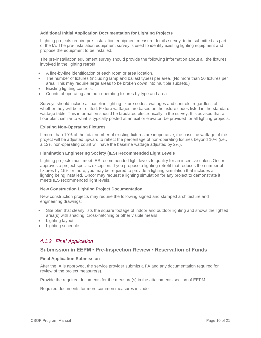# **Additional Initial Application Documentation for Lighting Projects**

Lighting projects require pre-installation equipment measure details survey, to be submitted as part of the IA. The pre-installation equipment survey is used to identify existing lighting equipment and propose the equipment to be installed.

The pre-installation equipment survey should provide the following information about all the fixtures involved in the lighting retrofit:

- A line-by-line identification of each room or area location.
- The number of fixtures (including lamp and ballast types) per area. (No more than 50 fixtures per area. This may require large areas to be broken down into multiple subsets.)
- Existing lighting controls.
- Counts of operating and non-operating fixtures by type and area.

Surveys should include all baseline lighting fixture codes, wattages and controls, regardless of whether they will be retrofitted. Fixture wattages are based on the fixture codes listed in the standard wattage table. This information should be tabulated electronically in the survey. It is advised that a floor plan, similar to what is typically posted at an exit or elevator, be provided for all lighting projects.

## **Existing Non-Operating Fixtures**

If more than 10% of the total number of existing fixtures are inoperative, the baseline wattage of the project will be adjusted upward to reflect the percentage of non-operating fixtures beyond 10% (i.e., a 12% non-operating count will have the baseline wattage adjusted by 2%).

## **Illumination Engineering Society (IES) Recommended Light Levels**

Lighting projects must meet IES recommended light levels to qualify for an incentive unless Oncor approves a project-specific exception. If you propose a lighting retrofit that reduces the number of fixtures by 15% or more, you may be required to provide a lighting simulation that includes all lighting being installed. Oncor may request a lighting simulation for any project to demonstrate it meets IES recommended light levels.

## **New Construction Lighting Project Documentation**

New construction projects may require the following signed and stamped architecture and engineering drawings:

- Site plan that clearly lists the square footage of indoor and outdoor lighting and shows the lighted area(s) with shading, cross-hatching or other visible means.
- Lighting layout.
- Lighting schedule.

# <span id="page-9-0"></span>*4.1.2 Final Application*

# **Submission in EEPM • Pre-Inspection Review • Reservation of Funds**

## **Final Application Submission**

After the IA is approved, the service provider submits a FA and any documentation required for review of the project measure(s).

Provide the required documents for the measure(s) in the attachments section of EEPM.

Required documents for more common measures include: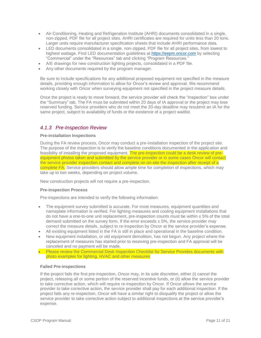- Air-Conditioning, Heating and Refrigeration Institute (AHRI) documents consolidated in a single, non-zipped, PDF file for all project sites. AHRI certificates are required for units less than 20 tons. Larger units require manufacturer specification sheets that include AHRI performance data.
- LED documents consolidated in a single, non-zipped, PDF file for all project sites, from lowest to highest wattage. Find LED documentation guidelines at [https://eepm.oncor.com](https://eepm.oncor.com/) by selecting "Commercial" under the "Resources" tab and clicking "Program Resources."
- A/E drawings for new construction lighting projects, consolidated in a PDF file.
- Any other documents required by the program manager.

Be sure to include specifications for any additional proposed equipment not specified in the measure details, providing enough information to allow for Oncor's review and approval. We recommend working closely with Oncor when surveying equipment not specified in the project measure details.

Once the project is ready to move forward, the service provider will check the "Inspection" box under the "Summary" tab. The FA must be submitted within 20 days of IA approval or the project may lose reserved funding. Service providers who do not meet the 20-day deadline may resubmit an IA for the same project, subject to availability of funds or the existence of a project waitlist.

# <span id="page-10-0"></span>*4.1.3 Pre-Inspection Review*

## **Pre-installation Inspections**

During the FA review process, Oncor may conduct a pre-installation inspection of the project site. The purpose of the inspection is to verify the baseline conditions documented in the application and feasibility of installing the proposed equipment. The pre-inspection could be a desk review of preequipment photos taken and submitted by the service provider or in some cases Oncor will contact the service provider inspection contact and complete on on-site the inspection after receipt of a complete FA. Service providers should allow ample time for completion of inspections, which may take up to two weeks, depending on project volume.

New construction projects will not require a pre-inspection.

## **Pre-inspection Process**

Pre-inspections are intended to verify the following information:

- The equipment survey submitted is accurate. For most measures, equipment quantities and nameplate information is verified. For lighting measures and cooling equipment installations that do not have a one-to-one unit replacement, pre-inspection counts must be within  $\pm 5\%$  of the total demand submitted on the survey form. If the error exceeds  $\pm$  5%, the service provider may correct the measure details, subject to re-inspection by Oncor at the service provider's expense.
- All existing equipment listed in the FA is still in place and operational in the baseline condition.
- New equipment installation, or old equipment demolition, has not begun. Any project where the replacement of measures has started prior to receiving pre-inspection and FA approval will be canceled and no payment will be made.
- Please review the Commercial Desk Inspection Checklist for Service Provides documents with photo examples for lighting, HVAC and other measures

## **Failed Pre-inspections**

If the project fails the first pre-inspection, Oncor may, in its sole discretion, either (i) cancel the project, releasing all or some portion of the reserved incentive funds, or (ii) allow the service provider to take corrective action, which will require re-inspection by Oncor. If Oncor allows the service provider to take corrective action, the service provider shall pay for each additional inspection. If the project fails any re-inspection, Oncor will have a similar right to disqualify the project or allow the service provider to take corrective action subject to additional inspections at the service provider's expense.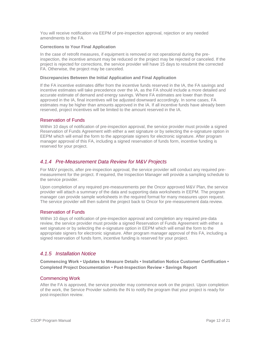You will receive notification via EEPM of pre-inspection approval, rejection or any needed amendments to the FA.

## **Corrections to Your Final Application**

In the case of retrofit measures, if equipment is removed or not operational during the preinspection, the incentive amount may be reduced or the project may be rejected or canceled. If the project is rejected for corrections, the service provider will have 15 days to resubmit the corrected FA. Otherwise, the project may be canceled.

## **Discrepancies Between the Initial Application and Final Application**

If the FA incentive estimates differ from the incentive funds reserved in the IA, the FA savings and incentive estimates will take precedence over the IA, as the FA should include a more detailed and accurate estimate of demand and energy savings. Where FA estimates are lower than those approved in the IA, final incentives will be adjusted downward accordingly. In some cases, FA estimates may be higher than amounts approved in the IA. If all incentive funds have already been reserved, project incentives will be limited to the amount reserved in the IA.

# Reservation of Funds

Within 10 days of notification of pre-inspection approval, the service provider must provide a signed Reservation of Funds Agreement with either a wet signature or by selecting the e-signature option in EEPM which will email the form to the appropriate signers for electronic signature. After program manager approval of this FA, including a signed reservation of funds form, incentive funding is reserved for your project.

# <span id="page-11-0"></span>*4.1.4 Pre-Measurement Data Review for M&V Projects*

For M&V projects, after pre-inspection approval, the service provider will conduct any required premeasurement for the project. If required, the Inspection Manager will provide a sampling schedule to the service provider.

Upon completion of any required pre-measurements per the Oncor approved M&V Plan, the service provider will attach a summary of the data and supporting data worksheets in EEPM. The program manager can provide sample worksheets in the required format for many measures upon request. The service provider will then submit the project back to Oncor for pre-measurement data review.

# Reservation of Funds

Within 10 days of notification of pre-inspection approval and completion any required pre-data review, the service provider must provide a signed Reservation of Funds Agreement with either a wet signature or by selecting the e-signature option in EEPM which will email the form to the appropriate signers for electronic signature. After program manager approval of this FA, including a signed reservation of funds form, incentive funding is reserved for your project.

# <span id="page-11-1"></span>*4.1.5 Installation Notice*

**Commencing Work • Updates to Measure Details • Installation Notice Customer Certification • Completed Project Documentation • Post-Inspection Review • Savings Report**

# Commencing Work

After the FA is approved, the service provider may commence work on the project. Upon completion of the work, the Service Provider submits the IN to notify the program that your project is ready for post-inspection review.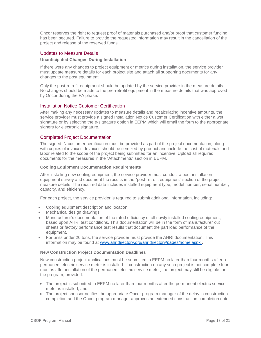Oncor reserves the right to request proof of materials purchased and/or proof that customer funding has been secured. Failure to provide the requested information may result in the cancellation of the project and release of the reserved funds.

# Updates to Measure Details

#### **Unanticipated Changes During Installation**

If there were any changes to project equipment or metrics during installation, the service provider must update measure details for each project site and attach all supporting documents for any changes to the post equipment.

Only the post-retrofit equipment should be updated by the service provider in the measure details. No changes should be made to the pre-retrofit equipment in the measure details that was approved by Oncor during the FA phase.

## Installation Notice Customer Certification

After making any necessary updates to measure details and recalculating incentive amounts, the service provider must provide a signed Installation Notice Customer Certification with either a wet signature or by selecting the e-signature option in EEPM which will email the form to the appropriate signers for electronic signature.

## Completed Project Documentation

The signed IN customer certification must be provided as part of the project documentation, along with copies of invoices. Invoices should be itemized by product and include the cost of materials and labor related to the scope of the project being submitted for an incentive. Upload all required documents for the measures in the "Attachments" section in EEPM.

#### **Cooling Equipment Documentation Requirements**

After installing new cooling equipment, the service provider must conduct a post-installation equipment survey and document the results in the "post-retrofit equipment" section of the project measure details. The required data includes installed equipment type, model number, serial number, capacity, and efficiency.

For each project, the service provider is required to submit additional information, including:

- Cooling equipment description and location.
- Mechanical design drawings.
- Manufacturer's documentation of the rated efficiency of all newly installed cooling equipment, based upon AHRI test conditions. This documentation will be in the form of manufacturer cut sheets or factory performance test results that document the part load performance of the equipment.
- For units under 20 tons, the service provider must provide the AHRI documentation. This information may be found at [www.ahridirectory.org/ahridirectory/pages/home.aspx](http://www.ahridirectory.org/ahridirectory/pages/home.aspx).

#### **New Construction Project Documentation Deadlines**

New construction project applications must be submitted in EEPM no later than four months after a permanent electric service meter is installed. If construction on any such project is not complete four months after installation of the permanent electric service meter, the project may still be eligible for the program, provided:

- The project is submitted to EEPM no later than four months after the permanent electric service meter is installed; and
- The project sponsor notifies the appropriate Oncor program manager of the delay in construction completion and the Oncor program manager approves an extended construction completion date.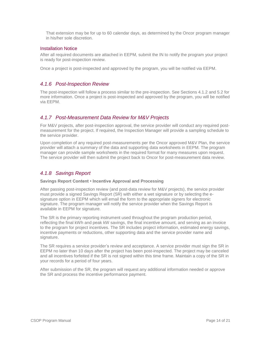That extension may be for up to 60 calendar days, as determined by the Oncor program manager in his/her sole discretion.

# Installation Notice

After all required documents are attached in EEPM, submit the IN to notify the program your project is ready for post-inspection review.

Once a project is post-inspected and approved by the program, you will be notified via EEPM.

# <span id="page-13-0"></span>*4.1.6 Post-Inspection Review*

The post-inspection will follow a process similar to the pre-inspection. See Sections 4.1.2 and 5.2 for more information. Once a project is post-inspected and approved by the program, you will be notified via EEPM.

# <span id="page-13-1"></span>*4.1.7 Post-Measurement Data Review for M&V Projects*

For M&V projects, after post-inspection approval, the service provider will conduct any required postmeasurement for the project. If required, the Inspection Manager will provide a sampling schedule to the service provider.

Upon completion of any required post-measurements per the Oncor approved M&V Plan, the service provider will attach a summary of the data and supporting data worksheets in EEPM. The program manager can provide sample worksheets in the required format for many measures upon request. The service provider will then submit the project back to Oncor for post-measurement data review.

# <span id="page-13-2"></span>*4.1.8 Savings Report*

## **Savings Report Content • Incentive Approval and Processing**

After passing post-inspection review (and post-data review for M&V projects), the service provider must provide a signed Savings Report (SR) with either a wet signature or by selecting the esignature option in EEPM which will email the form to the appropriate signers for electronic signature. The program manager will notify the service provider when the Savings Report is available in EEPM for signature.

The SR is the primary reporting instrument used throughout the program production period, reflecting the final kWh and peak kW savings, the final incentive amount, and serving as an invoice to the program for project incentives. The SR includes project information, estimated energy savings, incentive payments or reductions, other supporting data and the service provider name and signature.

The SR requires a service provider's review and acceptance. A service provider must sign the SR in EEPM no later than 10 days after the project has been post-inspected. The project may be canceled and all incentives forfeited if the SR is not signed within this time frame. Maintain a copy of the SR in your records for a period of four years.

After submission of the SR, the program will request any additional information needed or approve the SR and process the incentive performance payment.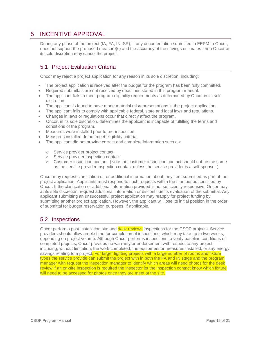# <span id="page-14-0"></span>5 INCENTIVE APPROVAL

During any phase of the project (IA, FA, IN, SR), if any documentation submitted in EEPM to Oncor, does not support the proposed measure(s) and the accuracy of the savings estimates, then Oncor at its sole discretion may cancel the project.

# <span id="page-14-1"></span>5.1 Project Evaluation Criteria

Oncor may reject a project application for any reason in its sole discretion, including:

- The project application is received after the budget for the program has been fully committed.
- Required submittals are not received by deadlines stated in this program manual.
- The applicant fails to meet program eligibility requirements as determined by Oncor in its sole discretion.
- The applicant is found to have made material misrepresentations in the project application.
- The applicant fails to comply with applicable federal, state and local laws and regulations.
- Changes in laws or regulations occur that directly affect the program.
- Oncor, in its sole discretion, determines the applicant is incapable of fulfilling the terms and conditions of the program.
- Measures were installed prior to pre-inspection.
- Measures installed do not meet eligibility criteria.
- The applicant did not provide correct and complete information such as:
	- o Service provider project contact.
	- o Service provider inspection contact.
	- $\circ$  Customer inspection contact. (Note the customer inspection contact should not be the same as the service provider inspection contact unless the service provider is a self-sponsor.)

Oncor may request clarification of, or additional information about, any item submitted as part of the project application. Applicants must respond to such requests within the time period specified by Oncor. If the clarification or additional information provided is not sufficiently responsive, Oncor may, at its sole discretion, request additional information or discontinue its evaluation of the submittal. Any applicant submitting an unsuccessful project application may reapply for project funding by submitting another project application. However, the applicant will lose its initial position in the order of submittal for budget reservation purposes, if applicable.

# <span id="page-14-2"></span>5.2 Inspections

Oncor performs post-installation site and **desk reviews** inspections for the CSOP projects. Service providers should allow ample time for completion of inspections, which may take up to two weeks, depending on project volume. Although Oncor performs inspections to verify baseline conditions or completed projects, Oncor provides no warranty or endorsement with respect to any project, including, without limitation, the work completed, the equipment or measures installed, or any energy savings relating to a project. For larger lighting projects with a large number of rooms and fixture types the service provide can submit the project with in both the FA and IN stage and the program manager with request the inspection manager to identify which areas will need photos for the desk review if an on-site inspection is required the inspector let the inspection contact know which fixture will need to be accessed for photos once they are meet at the site.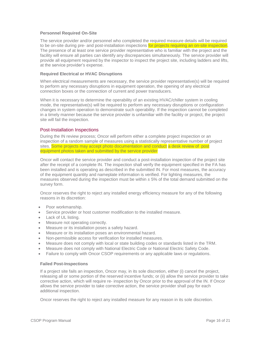## **Personnel Required On-Site**

The service provider and/or personnel who completed the required measure details will be required to be on-site during pre- and post-installation inspections for projects requiring an on-site inspection. The presence of at least one service provider representative who is familiar with the project and the facility will ensure all parties can identify any discrepancies simultaneously. The service provider will provide all equipment required by the inspector to inspect the project site, including ladders and lifts, at the service provider's expense.

#### **Required Electrical or HVAC Disruptions**

When electrical measurements are necessary, the service provider representative(s) will be required to perform any necessary disruptions in equipment operation, the opening of any electrical connection boxes or the connection of current and power transducers.

When it is necessary to determine the operability of an existing HVAC/chiller system in cooling mode, the representative(s) will be required to perform any necessary disruptions or configuration changes in system operation to demonstrate such operability. If the inspection cannot be completed in a timely manner because the service provider is unfamiliar with the facility or project, the project site will fail the inspection.

## Post-Installation Inspections

During the IN review process; Oncor will perform either a complete project inspection or an inspection of a random sample of measures using a statistically representative number of project sites. Some projects may accept photo documentation and conduct a desk review of post equipment photos taken and submitted by the service provider

Oncor will contact the service provider and conduct a post-installation inspection of the project site after the receipt of a complete IN. The inspection shall verify the equipment specified in the FA has been installed and is operating as described in the submitted IN. For most measures, the accuracy of the equipment quantity and nameplate information is verified. For lighting measures, the measures observed during the inspection must be within  $\pm$  5% of the total demand submitted on the survey form.

Oncor reserves the right to reject any installed energy efficiency measure for any of the following reasons in its discretion:

- Poor workmanship.
- Service provider or host customer modification to the installed measure.
- Lack of UL listing.
- Measure not operating correctly.
- Measure or its installation poses a safety hazard.
- Measure or its installation poses an environmental hazard.
- Non-permissible access for verification for installed measures.
- Measure does not comply with local or state building codes or standards listed in the TRM.
- Measure does not comply with National Electric Code or National Electric Safety Code.
- Failure to comply with Oncor CSOP requirements or any applicable laws or regulations.

#### **Failed Post-Inspections**

If a project site fails an inspection, Oncor may, in its sole discretion, either (i) cancel the project, releasing all or some portion of the reserved incentive funds; or (ii) allow the service provider to take corrective action, which will require re- inspection by Oncor prior to the approval of the IN. If Oncor allows the service provider to take corrective action, the service provider shall pay for each additional inspection.

Oncor reserves the right to reject any installed measure for any reason in its sole discretion.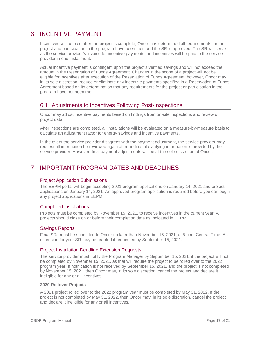# <span id="page-16-0"></span>6 INCENTIVE PAYMENT

Incentives will be paid after the project is complete, Oncor has determined all requirements for the project and participation in the program have been met, and the SR is approved. The SR will serve as the service provider's invoice for incentive payments, and incentives will be paid to the service provider in one installment.

Actual incentive payment is contingent upon the project's verified savings and will not exceed the amount in the Reservation of Funds Agreement. Changes in the scope of a project will not be eligible for incentives after execution of the Reservation of Funds Agreement; however, Oncor may, in its sole discretion, reduce or eliminate any incentive payments specified in a Reservation of Funds Agreement based on its determination that any requirements for the project or participation in the program have not been met.

# <span id="page-16-1"></span>6.1 Adjustments to Incentives Following Post-Inspections

Oncor may adjust incentive payments based on findings from on-site inspections and review of project data.

After inspections are completed, all installations will be evaluated on a measure-by-measure basis to calculate an adjustment factor for energy savings and incentive payments.

In the event the service provider disagrees with the payment adjustment, the service provider may request all information be reviewed again after additional clarifying information is provided by the service provider. However, final payment adjustments will be at the sole discretion of Oncor.

# <span id="page-16-2"></span>7 IMPORTANT PROGRAM DATES AND DEADLINES

# Project Application Submissions

The EEPM portal will begin accepting 2021 program applications on January 14, 2021 and project applications on January 14, 2021. An approved program application is required before you can begin any project applications in EEPM.

# Completed Installations

Projects must be completed by November 15, 2021, to receive incentives in the current year. All projects should close on or before their completion date as indicated in EEPM.

# Savings Reports

Final SRs must be submitted to Oncor no later than November 15, 2021, at 5 p.m. Central Time. An extension for your SR may be granted if requested by September 15, 2021.

# Project Installation Deadline Extension Requests

The service provider must notify the Program Manager by September 15, 2021, if the project will not be completed by November 15, 2021, as that will require the project to be rolled over to the 2022 program year. If notification is not received by September 15, 2021, and the project is not completed by November 15, 2021, then Oncor may, in its sole discretion, cancel the project and declare it ineligible for any or all incentives.

## **2020 Rollover Projects**

A 2021 project rolled over to the 2022 program year must be completed by May 31, 2022. If the project is not completed by May 31, 2022, then Oncor may, in its sole discretion, cancel the project and declare it ineligible for any or all incentives.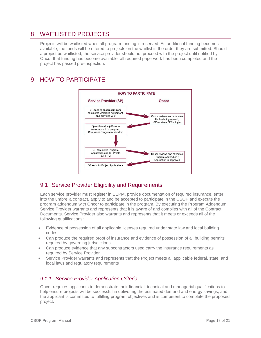# <span id="page-17-0"></span>8 WAITLISTED PROJECTS

Projects will be waitlisted when all program funding is reserved. As additional funding becomes available, the funds will be offered to projects on the waitlist in the order they are submitted. Should a project be waitlisted, the service provider should not proceed with the project until notified by Oncor that funding has become available, all required paperwork has been completed and the project has passed pre-inspection.

# <span id="page-17-1"></span>9 HOW TO PARTICIPATE



# <span id="page-17-2"></span>9.1 Service Provider Eligibility and Requirements

Each service provider must register in EEPM, provide documentation of required insurance, enter into the umbrella contract, apply to and be accepted to participate in the CSOP and execute the program addendum with Oncor to participate in the program. By executing the Program Addendum, Service Provider warrants and represents that it is aware of and complies with all of the Contract Documents. Service Provider also warrants and represents that it meets or exceeds all of the following qualifications:

- Evidence of possession of all applicable licenses required under state law and local building codes
- Can produce the required proof of insurance and evidence of possession of all building permits required by governing jurisdictions
- Can produce evidence that any subcontractors used carry the insurance requirements as required by Service Provider
- Service Provider warrants and represents that the Project meets all applicable federal, state, and local laws and regulatory requirements

# <span id="page-17-3"></span>*9.1.1 Service Provider Application Criteria*

Oncor requires applicants to demonstrate their financial, technical and managerial qualifications to help ensure projects will be successful in delivering the estimated demand and energy savings, and the applicant is committed to fulfilling program objectives and is competent to complete the proposed project.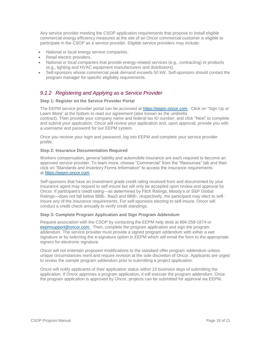Any service provider meeting the CSOP application requirements that propose to install eligible commercial energy efficiency measures at the site of an Oncor commercial customer is eligible to participate in the CSOP as a service provider. Eligible service providers may include:

- National or local energy service companies.
- Retail electric providers.
- National or local companies that provide energy-related services (e.g., contracting) or products (e.g., lighting and HVAC equipment manufacturers and distributors).
- Self-sponsors whose commercial peak demand exceeds 50 kW. Self-sponsors should contact the program manager for specific eligibility requirements.

# <span id="page-18-0"></span>*9.1.2 Registering and Applying as a Service Provider*

## **Step 1: Register on the Service Provider Portal**

The EEPM service provider portal can be accessed at [https://eepm.oncor.com](https://eepm.oncor.com/) . Click on "Sign Up or Learn More" at the bottom to read our agreement (also known as the umbrella contract). Then provide your company name and federal tax ID number, and click "Next" to complete and submit your application. Oncor will review your application and, upon approval, provide you with a username and password for our EEPM system.

Once you receive your login and password, log into EEPM and complete your service provider profile.

## **Step 2: Insurance Documentation Required**

Workers compensation, general liability and automobile insurance are each required to become an approved service provider. To learn more, choose "Commercial" from the "Resources" tab and then click on "Standards and Inventory Forms Information" to access the insurance requirements at [https://eepm.oncor.com](https://eepm.oncor.com/) .

Self-sponsors that have an investment grade credit rating received from and documented by your insurance agent may request to self-insure but will only be accepted upon review and approval by Oncor. If participant's credit rating—as determined by Fitch Ratings, Moody's or S&P Global Ratings—does not fall below BBB-, Baa3 and BBB-, respectively, the participant may elect to selfinsure any of the insurance requirements. For self-sponsors electing to self-insure, Oncor will conduct a credit check annually to verify credit standings.

## **Step 3: Complete Program Application and Sign Program Addendum**

Request association with the CSOP by contacting the EEPM help desk at 866-258-1874 or eep[msupport@oncor.com](mailto:support@oncor.com) . Then, complete the program application and sign the program addendum. The service provider must provide a signed program addendum with either a wet signature or by selecting the e-signature option in EEPM which will email the form to the appropriate signers for electronic signature.

Oncor will not entertain proposed modifications to the standard offer program addendum unless unique circumstances merit and require revision at the sole discretion of Oncor. Applicants are urged to review the sample program addendum prior to submitting a project application.

Oncor will notify applicants of their application status within 10 business days of submitting the application. If Oncor approves a program application, it will execute the program addendum. Once the program application is approved by Oncor, projects can be submitted for approval via EEPM.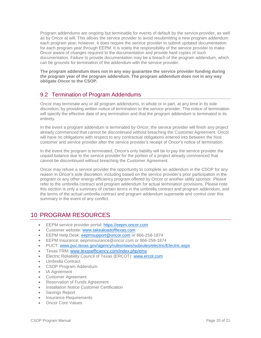Program addendums are ongoing but terminable for events of default by the service provider, as well as by Oncor at will. This allows the service provider to avoid resubmitting a new program addendum each program year; however, it does require the service provider to submit updated documentation for each program year through EEPM. It is solely the responsibility of the service provider to make Oncor aware of changes required to the documentation and provide hard copies of such documentation. Failure to provide documentation may be a breach of the program addendum, which can be grounds for termination of the addendum with the service provider.

**The program addendum does not in any way guarantee the service provider funding during the program year of the program addendum. The program addendum does not in any way obligate Oncor to the CSOP.**

# <span id="page-19-0"></span>9.2 Termination of Program Addendums

Oncor may terminate any or all program addendums, in whole or in part, at any time in its sole discretion, by providing written notice of termination to the service provider. The notice of termination will specify the effective date of any termination and that the program addendum is terminated in its entirety.

In the event a program addendum is terminated by Oncor, the service provider will finish any project already commenced that cannot be discontinued without breaching the Customer Agreement. Oncor will have no obligations with respect to any contractual obligations entered into between the host customer and service provider after the service provider's receipt of Oncor's notice of termination.

In the event the program is terminated, Oncor's only liability will be to pay the service provider the unpaid balance due to the service provider for the portion of a project already commenced that cannot be discontinued without breaching the Customer Agreement.

Oncor may refuse a service provider the opportunity to complete an addendum in the CSOP for any reason in Oncor's sole discretion, including based on the service provider's prior participation in the program or any other energy efficiency program offered by Oncor or another utility sponsor. Please refer to the umbrella contract and program addendum for actual termination provisions. Please note this section is only a summary of certain terms in the umbrella contract and program addendum, and the terms of the actual umbrella contract and program addendum supersede and control over this summary in the event of any conflict.

# <span id="page-19-1"></span>10 PROGRAM RESOURCES

- EEPM service provider portal: [https://eepm.oncor.com](https://eepm.oncor.com/)
- **Customer website:** [www.takealoadofftexas.com](http://www.takealoadofftexas.com/)
- EEPM Help Desk: eep[msupport@oncor.com](mailto:support@oncor.com) or 866-258-1874
- EEPM Insurance: [eepminsurance@oncor.com](mailto:eepminsurance@oncor.com) or 866-258-1874
- PUCT: [www.puc.texas.gov/agency/rulesnlaws/subrules/electric/Electric.aspx](http://www.puc.texas.gov/agency/rulesnlaws/subrules/electric/Electric.aspx)
- Texas TRM: [www.texasefficiency.com/index.php/emv](http://www.texasefficiency.com/index.php/emv)
- Electric Reliability Council of Texas (ERCOT): [www.ercot.com](http://www.ercot.com/)
- Umbrella Contract
- CSOP Program Addendum
- IA Agreement
- Customer Agreement
- Reservation of Funds Agreement
- Installation Notice Customer Certification
- Savings Report
- Insurance Requirements
- Oncor Core Values